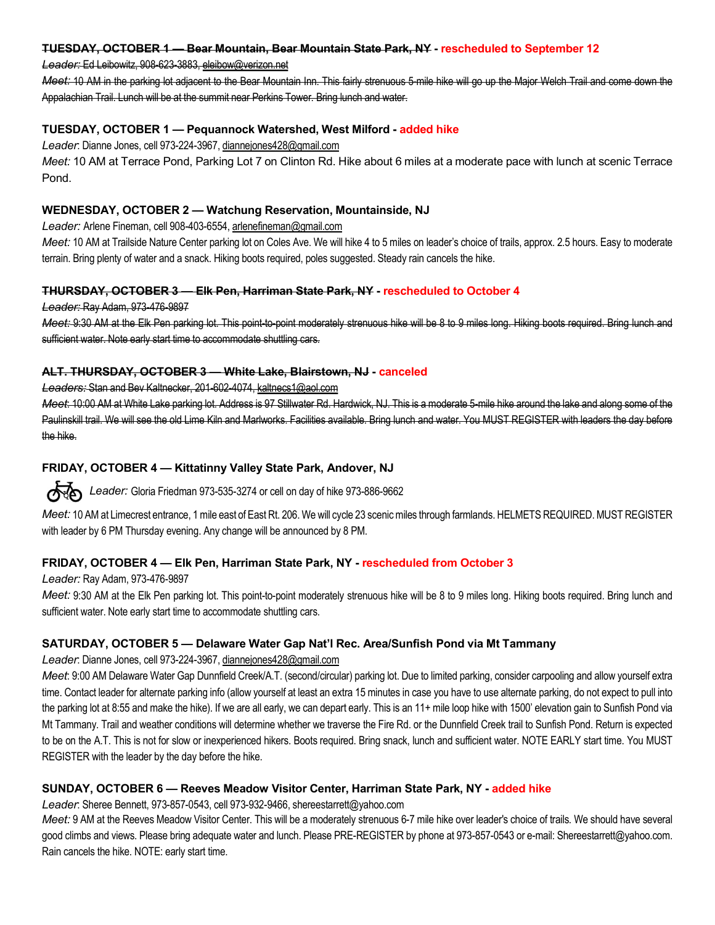#### TUESDAY, OCTOBER 1 — Bear Mountain, Bear Mountain State Park, NY - rescheduled to September 12

#### Leader: Ed Leibowitz, 908-623-3883, eleibow@verizon.net

Meet: 10 AM in the parking lot adjacent to the Bear Mountain Inn. This fairly strenuous 5-mile hike will go up the Major Welch Trail and come down the Appalachian Trail. Lunch will be at the summit near Perkins Tower. Bring lunch and water.

# TUESDAY, OCTOBER 1 — Pequannock Watershed, West Milford - added hike

Leader: Dianne Jones, cell 973-224-3967, dianneiones428@gmail.com

Meet: 10 AM at Terrace Pond, Parking Lot 7 on Clinton Rd. Hike about 6 miles at a moderate pace with lunch at scenic Terrace Pond.

#### WEDNESDAY, OCTOBER 2 — Watchung Reservation, Mountainside, NJ

Leader: Arlene Fineman, cell 908-403-6554, arlenefineman@gmail.com

Meet: 10 AM at Trailside Nature Center parking lot on Coles Ave. We will hike 4 to 5 miles on leader's choice of trails, approx. 2.5 hours. Easy to moderate terrain. Bring plenty of water and a snack. Hiking boots required, poles suggested. Steady rain cancels the hike.

#### THURSDAY, OCTOBER 3 — Elk Pen, Harriman State Park, NY - rescheduled to October 4

Leader: Ray Adam, 973-476-9897

Meet: 9:30 AM at the Elk Pen parking lot. This point-to-point moderately strenuous hike will be 8 to 9 miles long. Hiking boots required. Bring lunch and sufficient water. Note early start time to accommodate shuttling cars.

#### ALT. THURSDAY, OCTOBER 3 — White Lake, Blairstown, NJ - canceled

Leaders: Stan and Bev Kaltnecker, 201-602-4074, kaltnecs1@aol.com

Meet: 10:00 AM at White Lake parking lot. Address is 97 Stillwater Rd. Hardwick, NJ. This is a moderate 5-mile hike around the lake and along some of the Paulinskill trail. We will see the old Lime Kiln and Marlworks. Facilities available. Bring lunch and water. You MUST REGISTER with leaders the day before the hike.

# FRIDAY, OCTOBER 4 — Kittatinny Valley State Park, Andover, NJ

 $\sqrt{8}$  Leader: Gloria Friedman 973-535-3274 or cell on day of hike 973-886-9662

Meet: 10 AM at Limecrest entrance, 1 mile east of East Rt. 206. We will cycle 23 scenic miles through farmlands. HELMETS REQUIRED. MUST REGISTER with leader by 6 PM Thursday evening. Any change will be announced by 8 PM.

# FRIDAY, OCTOBER 4 — Elk Pen, Harriman State Park, NY - rescheduled from October 3

Leader: Ray Adam, 973-476-9897

Meet: 9:30 AM at the Elk Pen parking lot. This point-to-point moderately strenuous hike will be 8 to 9 miles long. Hiking boots required. Bring lunch and sufficient water. Note early start time to accommodate shuttling cars.

# SATURDAY, OCTOBER 5 — Delaware Water Gap Nat'l Rec. Area/Sunfish Pond via Mt Tammany

Leader: Dianne Jones, cell 973-224-3967, diannejones428@gmail.com

Meet: 9:00 AM Delaware Water Gap Dunnfield Creek/A.T. (second/circular) parking lot. Due to limited parking, consider carpooling and allow yourself extra time. Contact leader for alternate parking info (allow yourself at least an extra 15 minutes in case you have to use alternate parking, do not expect to pull into the parking lot at 8:55 and make the hike). If we are all early, we can depart early. This is an 11+ mile loop hike with 1500' elevation gain to Sunfish Pond via Mt Tammany. Trail and weather conditions will determine whether we traverse the Fire Rd. or the Dunnfield Creek trail to Sunfish Pond. Return is expected to be on the A.T. This is not for slow or inexperienced hikers. Boots required. Bring snack, lunch and sufficient water. NOTE EARLY start time. You MUST REGISTER with the leader by the day before the hike.

# SUNDAY, OCTOBER 6 — Reeves Meadow Visitor Center, Harriman State Park, NY - added hike

Leader: Sheree Bennett, 973-857-0543, cell 973-932-9466, shereestarrett@yahoo.com

Meet: 9 AM at the Reeves Meadow Visitor Center. This will be a moderately strenuous 6-7 mile hike over leader's choice of trails. We should have several good climbs and views. Please bring adequate water and lunch. Please PRE-REGISTER by phone at 973-857-0543 or e-mail: Shereestarrett@yahoo.com. Rain cancels the hike. NOTE: early start time.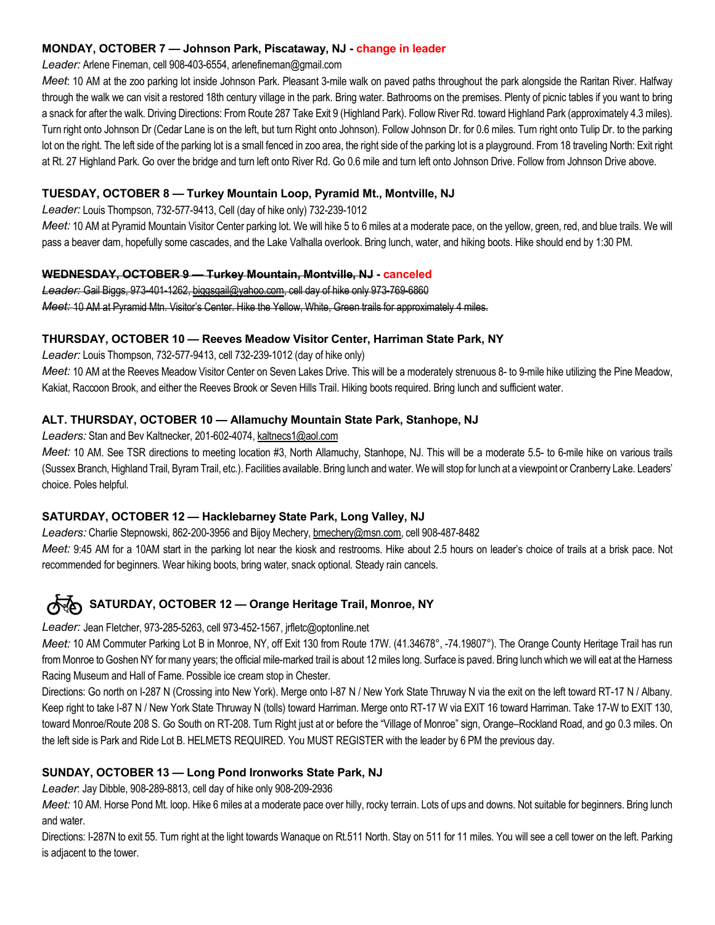# MONDAY, OCTOBER 7 — Johnson Park, Piscataway, NJ - change in leader

# Leader: Arlene Fineman, cell 908-403-6554, arlenefineman@gmail.com

Meet: 10 AM at the zoo parking lot inside Johnson Park. Pleasant 3-mile walk on paved paths throughout the park alongside the Raritan River. Halfway through the walk we can visit a restored 18th century village in the park. Bring water. Bathrooms on the premises. Plenty of picnic tables if you want to bring a snack for after the walk. Driving Directions: From Route 287 Take Exit 9 (Highland Park). Follow River Rd. toward Highland Park (approximately 4.3 miles). Turn right onto Johnson Dr (Cedar Lane is on the left, but turn Right onto Johnson). Follow Johnson Dr. for 0.6 miles. Turn right onto Tulip Dr. to the parking lot on the right. The left side of the parking lot is a small fenced in zoo area, the right side of the parking lot is a playground. From 18 traveling North: Exit right at Rt. 27 Highland Park. Go over the bridge and turn left onto River Rd. Go 0.6 mile and turn left onto Johnson Drive. Follow from Johnson Drive above.

# TUESDAY, OCTOBER 8 — Turkey Mountain Loop, Pyramid Mt., Montville, NJ

Leader: Louis Thompson, 732-577-9413, Cell (day of hike only) 732-239-1012

Meet: 10 AM at Pyramid Mountain Visitor Center parking lot. We will hike 5 to 6 miles at a moderate pace, on the yellow, green, red, and blue trails. We will pass a beaver dam, hopefully some cascades, and the Lake Valhalla overlook. Bring lunch, water, and hiking boots. Hike should end by 1:30 PM.

# WEDNESDAY, OCTOBER 9 — Turkey Mountain, Montville, NJ - canceled

Leader: Gail Biggs, 973-401-1262, biggsgail@yahoo.com, cell day of hike only 973-769-6860 Meet: 10 AM at Pyramid Mtn. Visitor's Center. Hike the Yellow, White, Green trails for approximately 4 miles.

# THURSDAY, OCTOBER 10 — Reeves Meadow Visitor Center, Harriman State Park, NY

Leader: Louis Thompson, 732-577-9413, cell 732-239-1012 (day of hike only)

Meet: 10 AM at the Reeves Meadow Visitor Center on Seven Lakes Drive. This will be a moderately strenuous 8- to 9-mile hike utilizing the Pine Meadow, Kakiat, Raccoon Brook, and either the Reeves Brook or Seven Hills Trail. Hiking boots required. Bring lunch and sufficient water.

# ALT. THURSDAY, OCTOBER 10 — Allamuchy Mountain State Park, Stanhope, NJ

Leaders: Stan and Bev Kaltnecker, 201-602-4074, kaltnecs1@aol.com

Meet: 10 AM. See TSR directions to meeting location #3, North Allamuchy, Stanhope, NJ. This will be a moderate 5.5- to 6-mile hike on various trails (Sussex Branch, Highland Trail, Byram Trail, etc.). Facilities available. Bring lunch and water. We will stop for lunch at a viewpoint or Cranberry Lake. Leaders' choice. Poles helpful.

# SATURDAY, OCTOBER 12 — Hacklebarney State Park, Long Valley, NJ

Leaders: Charlie Stepnowski, 862-200-3956 and Bijoy Mechery, bmechery@msn.com, cell 908-487-8482

Meet: 9:45 AM for a 10AM start in the parking lot near the kiosk and restrooms. Hike about 2.5 hours on leader's choice of trails at a brisk pace. Not recommended for beginners. Wear hiking boots, bring water, snack optional. Steady rain cancels.

# SATURDAY, OCTOBER 12 — Orange Heritage Trail, Monroe, NY

Leader: Jean Fletcher, 973-285-5263, cell 973-452-1567, jrfletc@optonline.net

Meet: 10 AM Commuter Parking Lot B in Monroe, NY, off Exit 130 from Route 17W. (41.34678°, -74.19807°). The Orange County Heritage Trail has run from Monroe to Goshen NY for many years; the official mile-marked trail is about 12 miles long. Surface is paved. Bring lunch which we will eat at the Harness Racing Museum and Hall of Fame. Possible ice cream stop in Chester.

Directions: Go north on I-287 N (Crossing into New York). Merge onto I-87 N / New York State Thruway N via the exit on the left toward RT-17 N / Albany. Keep right to take I-87 N / New York State Thruway N (tolls) toward Harriman. Merge onto RT-17 W via EXIT 16 toward Harriman. Take 17-W to EXIT 130, toward Monroe/Route 208 S. Go South on RT-208. Turn Right just at or before the "Village of Monroe" sign, Orange–Rockland Road, and go 0.3 miles. On the left side is Park and Ride Lot B. HELMETS REQUIRED. You MUST REGISTER with the leader by 6 PM the previous day.

# SUNDAY, OCTOBER 13 — Long Pond Ironworks State Park, NJ

Leader: Jay Dibble, 908-289-8813, cell day of hike only 908-209-2936

Meet: 10 AM. Horse Pond Mt. loop. Hike 6 miles at a moderate pace over hilly, rocky terrain. Lots of ups and downs. Not suitable for beginners. Bring lunch and water.

Directions: I-287N to exit 55. Turn right at the light towards Wanaque on Rt.511 North. Stay on 511 for 11 miles. You will see a cell tower on the left. Parking is adjacent to the tower.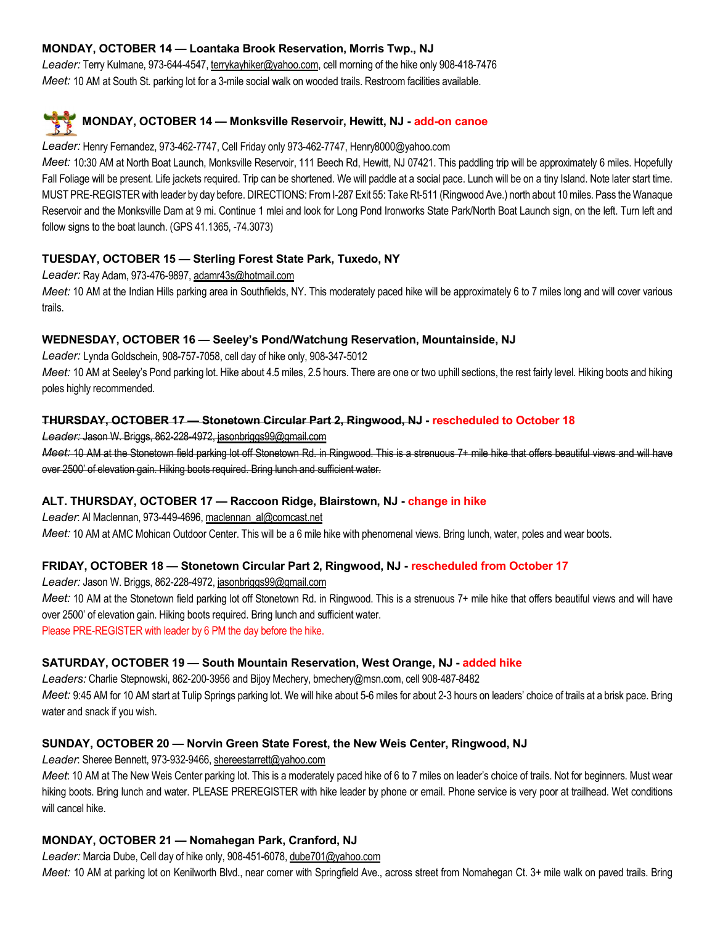# MONDAY, OCTOBER 14 — Loantaka Brook Reservation, Morris Twp., NJ

Leader: Terry Kulmane, 973-644-4547, terrykayhiker@yahoo.com, cell morning of the hike only 908-418-7476 Meet: 10 AM at South St. parking lot for a 3-mile social walk on wooded trails. Restroom facilities available.

# MONDAY, OCTOBER 14 — Monksville Reservoir, Hewitt, NJ - add-on canoe

#### Leader: Henry Fernandez, 973-462-7747, Cell Friday only 973-462-7747, Henry8000@yahoo.com

Meet: 10:30 AM at North Boat Launch, Monksville Reservoir, 111 Beech Rd, Hewitt, NJ 07421. This paddling trip will be approximately 6 miles. Hopefully Fall Foliage will be present. Life jackets required. Trip can be shortened. We will paddle at a social pace. Lunch will be on a tiny Island. Note later start time. MUST PRE-REGISTER with leader by day before. DIRECTIONS: From I-287 Exit 55: Take Rt-511 (Ringwood Ave.) north about 10 miles. Pass the Wanaque Reservoir and the Monksville Dam at 9 mi. Continue 1 mlei and look for Long Pond Ironworks State Park/North Boat Launch sign, on the left. Turn left and follow signs to the boat launch. (GPS 41.1365, -74.3073)

# TUESDAY, OCTOBER 15 — Sterling Forest State Park, Tuxedo, NY

Leader: Ray Adam, 973-476-9897, adamr43s@hotmail.com

Meet: 10 AM at the Indian Hills parking area in Southfields, NY. This moderately paced hike will be approximately 6 to 7 miles long and will cover various trails.

# WEDNESDAY, OCTOBER 16 — Seeley's Pond/Watchung Reservation, Mountainside, NJ

Leader: Lynda Goldschein, 908-757-7058, cell day of hike only, 908-347-5012

Meet: 10 AM at Seeley's Pond parking lot. Hike about 4.5 miles, 2.5 hours. There are one or two uphill sections, the rest fairly level. Hiking boots and hiking poles highly recommended.

# THURSDAY, OCTOBER 17 — Stonetown Circular Part 2, Ringwood, NJ - rescheduled to October 18

Leader: Jason W. Briggs, 862-228-4972, jasonbriggs99@gmail.com

Meet: 10 AM at the Stonetown field parking lot off Stonetown Rd. in Ringwood. This is a strenuous 7+ mile hike that offers beautiful views and will have over 2500' of elevation gain. Hiking boots required. Bring lunch and sufficient water.

# ALT. THURSDAY, OCTOBER 17 — Raccoon Ridge, Blairstown, NJ - change in hike

Leader: Al Maclennan, 973-449-4696, maclennan\_al@comcast.net

Meet: 10 AM at AMC Mohican Outdoor Center. This will be a 6 mile hike with phenomenal views. Bring lunch, water, poles and wear boots.

# FRIDAY, OCTOBER 18 — Stonetown Circular Part 2, Ringwood, NJ - rescheduled from October 17

Leader: Jason W. Briggs, 862-228-4972, jasonbriggs99@gmail.com

Meet: 10 AM at the Stonetown field parking lot off Stonetown Rd. in Ringwood. This is a strenuous 7+ mile hike that offers beautiful views and will have over 2500' of elevation gain. Hiking boots required. Bring lunch and sufficient water.

Please PRE-REGISTER with leader by 6 PM the day before the hike.

# SATURDAY, OCTOBER 19 — South Mountain Reservation, West Orange, NJ - added hike

Leaders: Charlie Stepnowski, 862-200-3956 and Bijoy Mechery, bmechery@msn.com, cell 908-487-8482 Meet: 9:45 AM for 10 AM start at Tulip Springs parking lot. We will hike about 5-6 miles for about 2-3 hours on leaders' choice of trails at a brisk pace. Bring water and snack if you wish.

# SUNDAY, OCTOBER 20 — Norvin Green State Forest, the New Weis Center, Ringwood, NJ

Leader: Sheree Bennett, 973-932-9466, shereestarrett@yahoo.com

Meet: 10 AM at The New Weis Center parking lot. This is a moderately paced hike of 6 to 7 miles on leader's choice of trails. Not for beginners. Must wear hiking boots. Bring lunch and water. PLEASE PREREGISTER with hike leader by phone or email. Phone service is very poor at trailhead. Wet conditions will cancel hike.

# MONDAY, OCTOBER 21 — Nomahegan Park, Cranford, NJ

Leader: Marcia Dube, Cell day of hike only, 908-451-6078, dube701@yahoo.com

Meet: 10 AM at parking lot on Kenilworth Blvd., near corner with Springfield Ave., across street from Nomahegan Ct. 3+ mile walk on paved trails. Bring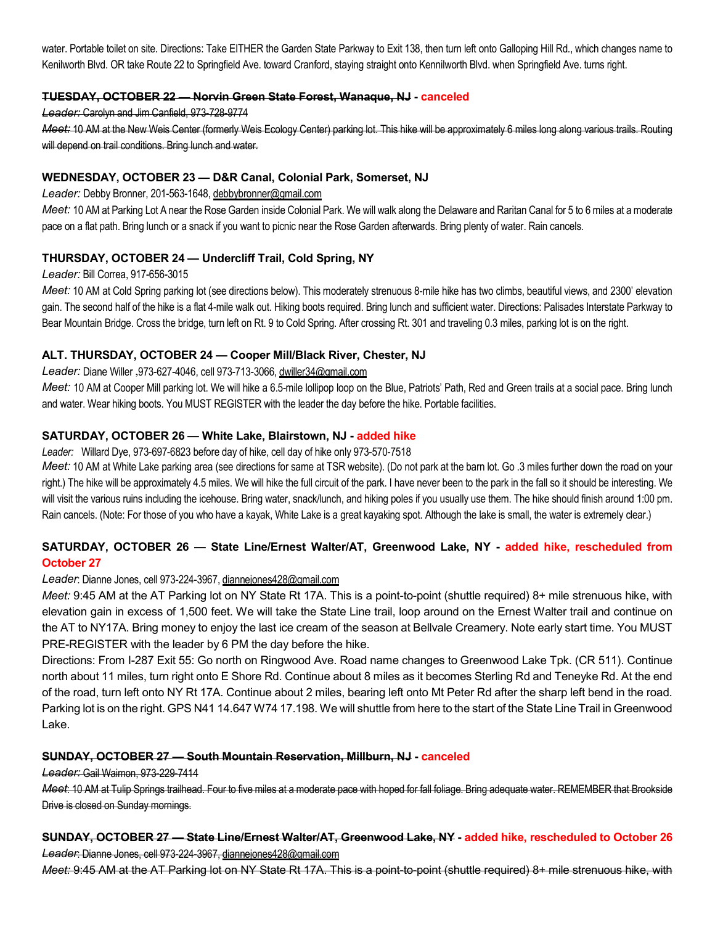water. Portable toilet on site. Directions: Take EITHER the Garden State Parkway to Exit 138, then turn left onto Galloping Hill Rd., which changes name to Kenilworth Blvd. OR take Route 22 to Springfield Ave. toward Cranford, staying straight onto Kennilworth Blvd. when Springfield Ave. turns right.

# TUESDAY, OCTOBER 22 — Norvin Green State Forest, Wanaque, NJ - canceled

#### Leader: Carolyn and Jim Canfield, 973-728-9774

Meet: 10 AM at the New Weis Center (formerly Weis Ecology Center) parking lot. This hike will be approximately 6 miles long along various trails. Routing will depend on trail conditions. Bring lunch and water.

#### WEDNESDAY, OCTOBER 23 — D&R Canal, Colonial Park, Somerset, NJ

Leader: Debby Bronner, 201-563-1648, debbybronner@gmail.com

Meet: 10 AM at Parking Lot A near the Rose Garden inside Colonial Park. We will walk along the Delaware and Raritan Canal for 5 to 6 miles at a moderate pace on a flat path. Bring lunch or a snack if you want to picnic near the Rose Garden afterwards. Bring plenty of water. Rain cancels.

# THURSDAY, OCTOBER 24 — Undercliff Trail, Cold Spring, NY

#### Leader: Bill Correa, 917-656-3015

Meet: 10 AM at Cold Spring parking lot (see directions below). This moderately strenuous 8-mile hike has two climbs, beautiful views, and 2300' elevation gain. The second half of the hike is a flat 4-mile walk out. Hiking boots required. Bring lunch and sufficient water. Directions: Palisades Interstate Parkway to Bear Mountain Bridge. Cross the bridge, turn left on Rt. 9 to Cold Spring. After crossing Rt. 301 and traveling 0.3 miles, parking lot is on the right.

#### ALT. THURSDAY, OCTOBER 24 — Cooper Mill/Black River, Chester, NJ

#### Leader: Diane Willer ,973-627-4046, cell 973-713-3066, dwiller34@gmail.com

Meet: 10 AM at Cooper Mill parking lot. We will hike a 6.5-mile lollipop loop on the Blue, Patriots' Path, Red and Green trails at a social pace. Bring lunch and water. Wear hiking boots. You MUST REGISTER with the leader the day before the hike. Portable facilities.

#### SATURDAY, OCTOBER 26 — White Lake, Blairstown, NJ - added hike

#### Leader: Willard Dye, 973-697-6823 before day of hike, cell day of hike only 973-570-7518

Meet: 10 AM at White Lake parking area (see directions for same at TSR website). (Do not park at the barn lot. Go .3 miles further down the road on your right.) The hike will be approximately 4.5 miles. We will hike the full circuit of the park. I have never been to the park in the fall so it should be interesting. We will visit the various ruins including the icehouse. Bring water, snack/lunch, and hiking poles if you usually use them. The hike should finish around 1:00 pm. Rain cancels. (Note: For those of you who have a kayak, White Lake is a great kayaking spot. Although the lake is small, the water is extremely clear.)

# SATURDAY, OCTOBER 26 - State Line/Ernest Walter/AT, Greenwood Lake, NY - added hike, rescheduled from October 27

#### Leader: Dianne Jones, cell 973-224-3967, diannejones428@gmail.com

Meet: 9:45 AM at the AT Parking lot on NY State Rt 17A. This is a point-to-point (shuttle required) 8+ mile strenuous hike, with elevation gain in excess of 1,500 feet. We will take the State Line trail, loop around on the Ernest Walter trail and continue on the AT to NY17A. Bring money to enjoy the last ice cream of the season at Bellvale Creamery. Note early start time. You MUST PRE-REGISTER with the leader by 6 PM the day before the hike.

Directions: From I-287 Exit 55: Go north on Ringwood Ave. Road name changes to Greenwood Lake Tpk. (CR 511). Continue north about 11 miles, turn right onto E Shore Rd. Continue about 8 miles as it becomes Sterling Rd and Teneyke Rd. At the end of the road, turn left onto NY Rt 17A. Continue about 2 miles, bearing left onto Mt Peter Rd after the sharp left bend in the road. Parking lot is on the right. GPS N41 14.647 W74 17.198. We will shuttle from here to the start of the State Line Trail in Greenwood Lake.

#### SUNDAY, OCTOBER 27 — South Mountain Reservation, Millburn, NJ - canceled

Leader: Gail Waimon, 973-229-7414

Meet: 10 AM at Tulip Springs trailhead. Four to five miles at a moderate pace with hoped for fall foliage. Bring adequate water. REMEMBER that Brookside Drive is closed on Sunday mornings.

# SUNDAY, OCTOBER 27 — State Line/Ernest Walter/AT, Greenwood Lake, NY - added hike, rescheduled to October 26 Leader: Dianne Jones, cell 973-224-3967, diannejones428@gmail.com

Meet: 9:45 AM at the AT Parking lot on NY State Rt 17A. This is a point-to-point (shuttle required) 8+ mile strenuous hike, with